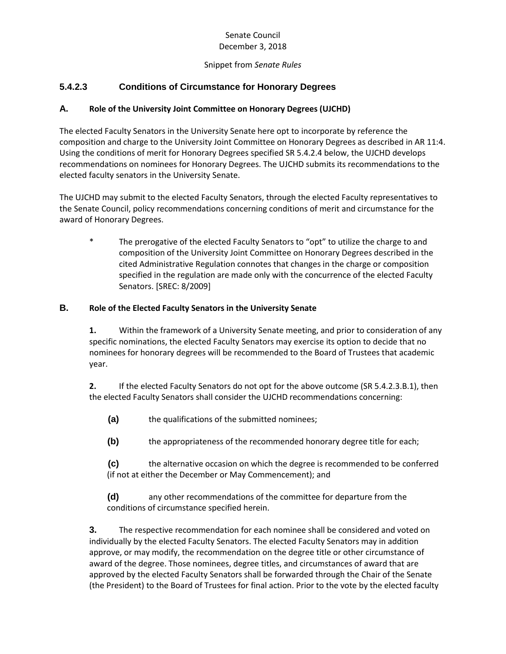### Senate Council December 3, 2018

#### Snippet from *Senate Rules*

# **5.4.2.3 Conditions of Circumstance for Honorary Degrees**

### **A. Role of the University Joint Committee on Honorary Degrees (UJCHD)**

The elected Faculty Senators in the University Senate here opt to incorporate by reference the composition and charge to the University Joint Committee on Honorary Degrees as described in AR 11:4. Using the conditions of merit for Honorary Degrees specified SR 5.4.2.4 below, the UJCHD develops recommendations on nominees for Honorary Degrees. The UJCHD submits its recommendations to the elected faculty senators in the University Senate.

The UJCHD may submit to the elected Faculty Senators, through the elected Faculty representatives to the Senate Council, policy recommendations concerning conditions of merit and circumstance for the award of Honorary Degrees.

\* The prerogative of the elected Faculty Senators to "opt" to utilize the charge to and composition of the University Joint Committee on Honorary Degrees described in the cited Administrative Regulation connotes that changes in the charge or composition specified in the regulation are made only with the concurrence of the elected Faculty Senators. [SREC: 8/2009]

#### **B. Role of the Elected Faculty Senators in the University Senate**

**1.** Within the framework of a University Senate meeting, and prior to consideration of any specific nominations, the elected Faculty Senators may exercise its option to decide that no nominees for honorary degrees will be recommended to the Board of Trustees that academic year.

**2.** If the elected Faculty Senators do not opt for the above outcome (SR 5.4.2.3.B.1), then the elected Faculty Senators shall consider the UJCHD recommendations concerning:

**(a)** the qualifications of the submitted nominees;

**(b)** the appropriateness of the recommended honorary degree title for each;

**(c)** the alternative occasion on which the degree is recommended to be conferred (if not at either the December or May Commencement); and

**(d)** any other recommendations of the committee for departure from the conditions of circumstance specified herein.

**3.** The respective recommendation for each nominee shall be considered and voted on individually by the elected Faculty Senators. The elected Faculty Senators may in addition approve, or may modify, the recommendation on the degree title or other circumstance of award of the degree. Those nominees, degree titles, and circumstances of award that are approved by the elected Faculty Senators shall be forwarded through the Chair of the Senate (the President) to the Board of Trustees for final action. Prior to the vote by the elected faculty